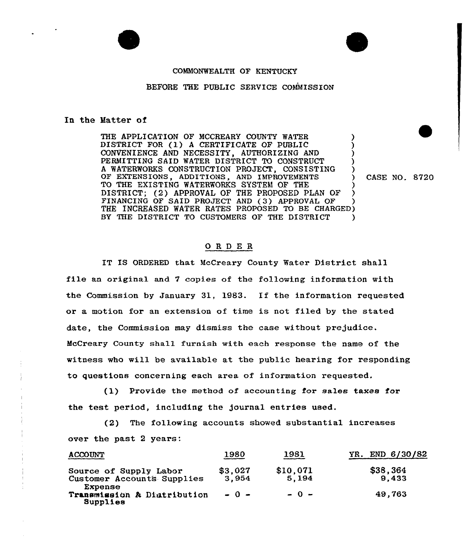

## COMMONWEALTH OF KENTUCKY

## BEFORE THE PUBLIC SERVICE COMMISSION

## In the Hatter of

THE APPLICATION OF MCCREARY COUNTY WATER DISTRICT FOR (1) <sup>A</sup> CERTIFICATE OF PUBLIC ) CONVENIENCE AND NECESSITY, AUTHORIZING AND PERMITTING SAID WATER DISTRICT TO CONSTRUCT <sup>A</sup> WATERWORKS CONSTRUCTION PROJECT, CONSISTING ) OF EXTENSIONS, ADDITIONS, AND IMPROVEMENTS ) CASE NO. 8720 TO THE EXISTING WATERWORKS SYSTEM OF THE DISTRICT; (2) APPROVAL OF THE PROPOSED PLAN OF FINANCING OF SAID PROJECT AND (3) APPROVAL OF THE INCREASED WATER RATES PROPOSED TO BE CHARGED) BY THE DISTRICT TO CUSTOMERS OF THE DISTRICT )

## ORDER

IT IS ORDERED that McCreary County Water District shall file an original and 7 copies of the following information with the Commission by January 31, 1983. If the information requested or a motion for an extension of time is not filed by the stated date, the Commission may dismiss the case without prejudice. McCreary County shall furnish with each response the name of the witness who will be available at the public hearing for responding to questions concerning each area of information requested.

(1) Provide the method of accounting for sales taxes for the test period, including the journal entries used.

(2) The following accounts showed substantial increases over the past 2 years:

| <b>ACCOUNT</b>                                                                                             | 1980                       | 1981                        | END 6/30/82<br>YR.          |
|------------------------------------------------------------------------------------------------------------|----------------------------|-----------------------------|-----------------------------|
| Source of Supply Labor<br>Customer Accounts Supplies<br>Expense<br>Transmission & Distribution<br>Supplies | \$3,027<br>3.954<br>$-0 -$ | \$10,071<br>5,194<br>$-0 -$ | \$38,364<br>9.433<br>49,763 |